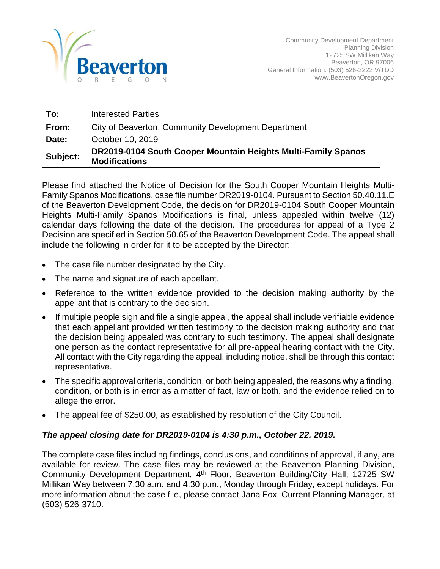

| To:      | <b>Interested Parties</b>                                                             |
|----------|---------------------------------------------------------------------------------------|
| From:    | City of Beaverton, Community Development Department                                   |
| Date:    | October 10, 2019                                                                      |
| Subject: | DR2019-0104 South Cooper Mountain Heights Multi-Family Spanos<br><b>Modifications</b> |

Please find attached the Notice of Decision for the South Cooper Mountain Heights Multi-Family Spanos Modifications, case file number DR2019-0104. Pursuant to Section 50.40.11.E of the Beaverton Development Code, the decision for DR2019-0104 South Cooper Mountain Heights Multi-Family Spanos Modifications is final, unless appealed within twelve (12) calendar days following the date of the decision. The procedures for appeal of a Type 2 Decision are specified in Section 50.65 of the Beaverton Development Code. The appeal shall include the following in order for it to be accepted by the Director:

- The case file number designated by the City.
- The name and signature of each appellant.
- Reference to the written evidence provided to the decision making authority by the appellant that is contrary to the decision.
- If multiple people sign and file a single appeal, the appeal shall include verifiable evidence that each appellant provided written testimony to the decision making authority and that the decision being appealed was contrary to such testimony. The appeal shall designate one person as the contact representative for all pre-appeal hearing contact with the City. All contact with the City regarding the appeal, including notice, shall be through this contact representative.
- The specific approval criteria, condition, or both being appealed, the reasons why a finding, condition, or both is in error as a matter of fact, law or both, and the evidence relied on to allege the error.
- The appeal fee of \$250.00, as established by resolution of the City Council.

# *The appeal closing date for DR2019-0104 is 4:30 p.m., October 22, 2019.*

The complete case files including findings, conclusions, and conditions of approval, if any, are available for review. The case files may be reviewed at the Beaverton Planning Division, Community Development Department, 4<sup>th</sup> Floor, Beaverton Building/City Hall; 12725 SW Millikan Way between 7:30 a.m. and 4:30 p.m., Monday through Friday, except holidays. For more information about the case file, please contact Jana Fox, Current Planning Manager, at (503) 526-3710.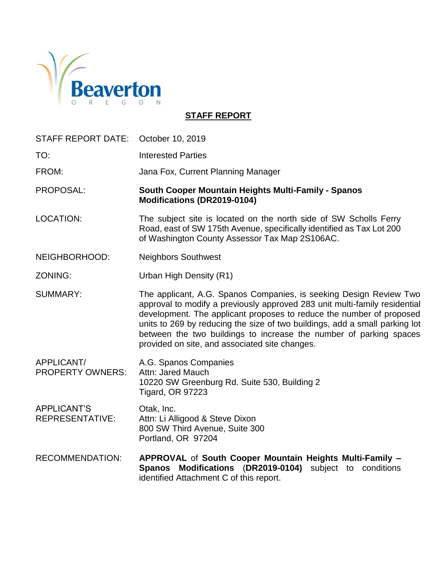

# **STAFF REPORT**

| STAFF REPORT DATE:                           | October 10, 2019                                                                                                                                                                                                                                                                                                                                                                                                                |
|----------------------------------------------|---------------------------------------------------------------------------------------------------------------------------------------------------------------------------------------------------------------------------------------------------------------------------------------------------------------------------------------------------------------------------------------------------------------------------------|
| TO:                                          | <b>Interested Parties</b>                                                                                                                                                                                                                                                                                                                                                                                                       |
| FROM:                                        | Jana Fox, Current Planning Manager                                                                                                                                                                                                                                                                                                                                                                                              |
| PROPOSAL:                                    | South Cooper Mountain Heights Multi-Family - Spanos<br>Modifications (DR2019-0104)                                                                                                                                                                                                                                                                                                                                              |
| <b>LOCATION:</b>                             | The subject site is located on the north side of SW Scholls Ferry<br>Road, east of SW 175th Avenue, specifically identified as Tax Lot 200<br>of Washington County Assessor Tax Map 2S106AC.                                                                                                                                                                                                                                    |
| NEIGHBORHOOD:                                | <b>Neighbors Southwest</b>                                                                                                                                                                                                                                                                                                                                                                                                      |
| ZONING:                                      | Urban High Density (R1)                                                                                                                                                                                                                                                                                                                                                                                                         |
| <b>SUMMARY:</b>                              | The applicant, A.G. Spanos Companies, is seeking Design Review Two<br>approval to modify a previously approved 283 unit multi-family residential<br>development. The applicant proposes to reduce the number of proposed<br>units to 269 by reducing the size of two buildings, add a small parking lot<br>between the two buildings to increase the number of parking spaces<br>provided on site, and associated site changes. |
| APPLICANT/<br><b>PROPERTY OWNERS:</b>        | A.G. Spanos Companies<br>Attn: Jared Mauch<br>10220 SW Greenburg Rd. Suite 530, Building 2<br><b>Tigard, OR 97223</b>                                                                                                                                                                                                                                                                                                           |
| <b>APPLICANT'S</b><br><b>REPRESENTATIVE:</b> | Otak, Inc.<br>Attn: Li Alligood & Steve Dixon<br>800 SW Third Avenue, Suite 300<br>Portland, OR 97204                                                                                                                                                                                                                                                                                                                           |
| <b>RECOMMENDATION:</b>                       | APPROVAL of South Cooper Mountain Heights Multi-Family -<br>Spanos Modifications (DR2019-0104) subject to conditions<br>identified Attachment C of this report.                                                                                                                                                                                                                                                                 |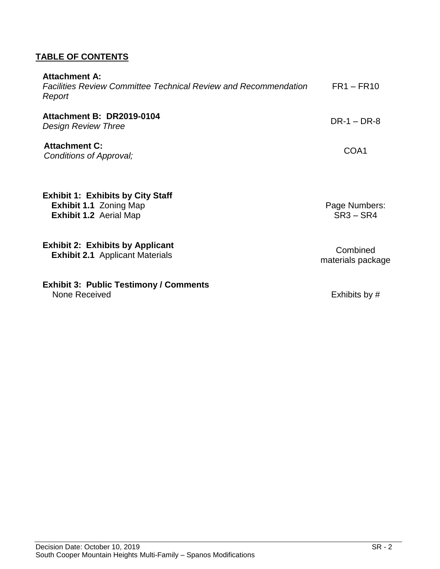# **TABLE OF CONTENTS**

| <b>Attachment A:</b><br><b>Facilities Review Committee Technical Review and Recommendation</b><br>Report   | $FR1 - FR10$                  |
|------------------------------------------------------------------------------------------------------------|-------------------------------|
| Attachment B: DR2019-0104<br><b>Design Review Three</b>                                                    | $DR-1 - DR-8$                 |
| <b>Attachment C:</b><br>Conditions of Approval;                                                            | COA1                          |
| <b>Exhibit 1: Exhibits by City Staff</b><br><b>Exhibit 1.1 Zoning Map</b><br><b>Exhibit 1.2 Aerial Map</b> | Page Numbers:<br>$SR3 - SR4$  |
| <b>Exhibit 2: Exhibits by Applicant</b><br><b>Exhibit 2.1</b> Applicant Materials                          | Combined<br>materials package |
| <b>Exhibit 3: Public Testimony / Comments</b><br>None Received                                             | Exhibits by #                 |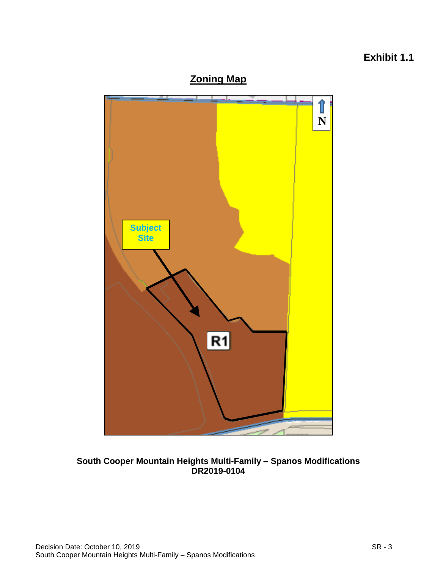# **Exhibit 1.1**





**South Cooper Mountain Heights Multi-Family – Spanos Modifications DR2019-0104**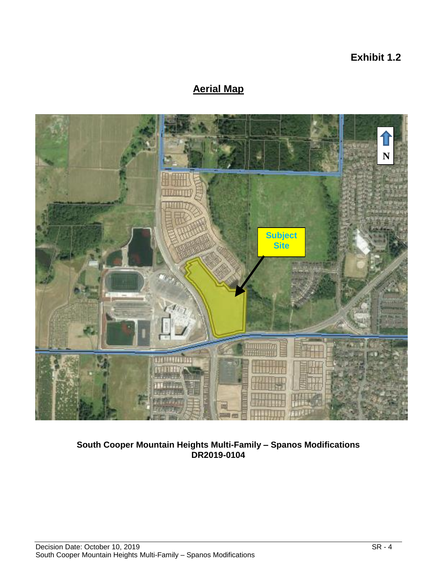**Exhibit 1.2**

# **Aerial Map**



**South Cooper Mountain Heights Multi-Family – Spanos Modifications DR2019-0104**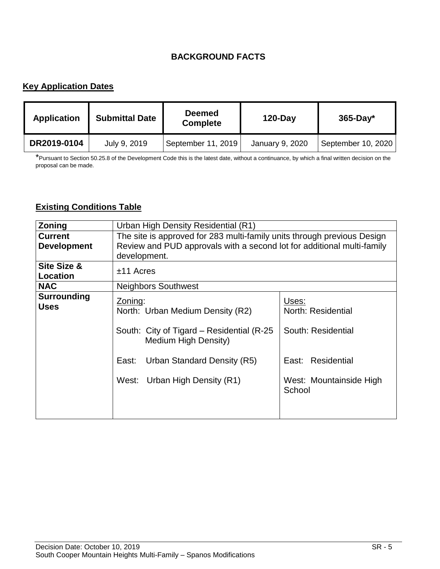# **BACKGROUND FACTS**

# **Key Application Dates**

| <b>Application</b> | <b>Submittal Date</b> | <b>Deemed</b><br><b>Complete</b> | <b>120-Day</b>  | $365$ -Day*        |
|--------------------|-----------------------|----------------------------------|-----------------|--------------------|
| DR2019-0104        | July 9, 2019          | September 11, 2019               | January 9, 2020 | September 10, 2020 |

\*Pursuant to Section 50.25.8 of the Development Code this is the latest date, without a continuance, by which a final written decision on the proposal can be made.

# **Existing Conditions Table**

| <b>Zoning</b>                  | Urban High Density Residential (R1)                                     |                                   |  |
|--------------------------------|-------------------------------------------------------------------------|-----------------------------------|--|
|                                |                                                                         |                                   |  |
| <b>Current</b>                 | The site is approved for 283 multi-family units through previous Design |                                   |  |
| <b>Development</b>             | Review and PUD approvals with a second lot for additional multi-family  |                                   |  |
|                                | development.                                                            |                                   |  |
| Site Size &<br><b>Location</b> | $±11$ Acres                                                             |                                   |  |
| <b>NAC</b>                     | <b>Neighbors Southwest</b>                                              |                                   |  |
| <b>Surrounding</b>             | Zoning:                                                                 | Uses:                             |  |
| <b>Uses</b>                    | North: Urban Medium Density (R2)                                        | North: Residential                |  |
|                                | South: City of Tigard – Residential (R-25)<br>Medium High Density)      | South: Residential                |  |
|                                | Urban Standard Density (R5)<br>East:                                    | East: Residential                 |  |
|                                | West: Urban High Density (R1)                                           | West: Mountainside High<br>School |  |
|                                |                                                                         |                                   |  |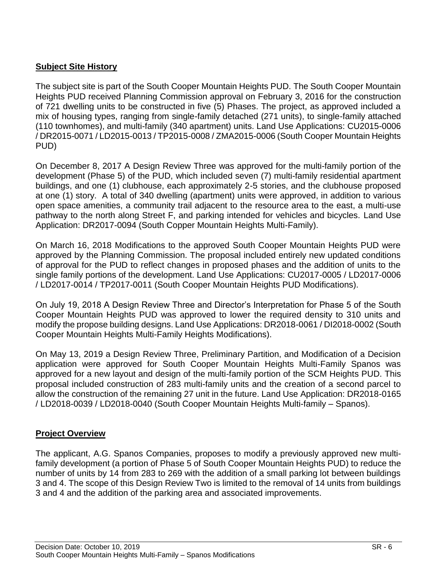# **Subject Site History**

The subject site is part of the South Cooper Mountain Heights PUD. The South Cooper Mountain Heights PUD received Planning Commission approval on February 3, 2016 for the construction of 721 dwelling units to be constructed in five (5) Phases. The project, as approved included a mix of housing types, ranging from single-family detached (271 units), to single-family attached (110 townhomes), and multi-family (340 apartment) units. Land Use Applications: CU2015-0006 / DR2015-0071 / LD2015-0013 / TP2015-0008 / ZMA2015-0006 (South Cooper Mountain Heights PUD)

On December 8, 2017 A Design Review Three was approved for the multi-family portion of the development (Phase 5) of the PUD, which included seven (7) multi-family residential apartment buildings, and one (1) clubhouse, each approximately 2-5 stories, and the clubhouse proposed at one (1) story. A total of 340 dwelling (apartment) units were approved, in addition to various open space amenities, a community trail adjacent to the resource area to the east, a multi-use pathway to the north along Street F, and parking intended for vehicles and bicycles. Land Use Application: DR2017-0094 (South Copper Mountain Heights Multi-Family).

On March 16, 2018 Modifications to the approved South Cooper Mountain Heights PUD were approved by the Planning Commission. The proposal included entirely new updated conditions of approval for the PUD to reflect changes in proposed phases and the addition of units to the single family portions of the development. Land Use Applications: CU2017-0005 / LD2017-0006 / LD2017-0014 / TP2017-0011 (South Cooper Mountain Heights PUD Modifications).

On July 19, 2018 A Design Review Three and Director's Interpretation for Phase 5 of the South Cooper Mountain Heights PUD was approved to lower the required density to 310 units and modify the propose building designs. Land Use Applications: DR2018-0061 / DI2018-0002 (South Cooper Mountain Heights Multi-Family Heights Modifications).

On May 13, 2019 a Design Review Three, Preliminary Partition, and Modification of a Decision application were approved for South Cooper Mountain Heights Multi-Family Spanos was approved for a new layout and design of the multi-family portion of the SCM Heights PUD. This proposal included construction of 283 multi-family units and the creation of a second parcel to allow the construction of the remaining 27 unit in the future. Land Use Application: DR2018-0165 / LD2018-0039 / LD2018-0040 (South Cooper Mountain Heights Multi-family – Spanos).

# **Project Overview**

The applicant, A.G. Spanos Companies, proposes to modify a previously approved new multifamily development (a portion of Phase 5 of South Cooper Mountain Heights PUD) to reduce the number of units by 14 from 283 to 269 with the addition of a small parking lot between buildings 3 and 4. The scope of this Design Review Two is limited to the removal of 14 units from buildings 3 and 4 and the addition of the parking area and associated improvements.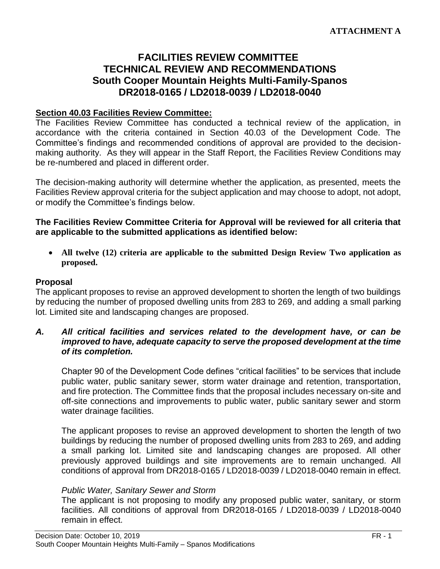# **FACILITIES REVIEW COMMITTEE TECHNICAL REVIEW AND RECOMMENDATIONS South Cooper Mountain Heights Multi-Family-Spanos DR2018-0165 / LD2018-0039 / LD2018-0040**

#### **Section 40.03 Facilities Review Committee:**

The Facilities Review Committee has conducted a technical review of the application, in accordance with the criteria contained in Section 40.03 of the Development Code. The Committee's findings and recommended conditions of approval are provided to the decisionmaking authority. As they will appear in the Staff Report, the Facilities Review Conditions may be re-numbered and placed in different order.

The decision-making authority will determine whether the application, as presented, meets the Facilities Review approval criteria for the subject application and may choose to adopt, not adopt, or modify the Committee's findings below.

#### **The Facilities Review Committee Criteria for Approval will be reviewed for all criteria that are applicable to the submitted applications as identified below:**

 **All twelve (12) criteria are applicable to the submitted Design Review Two application as proposed.**

#### **Proposal**

The applicant proposes to revise an approved development to shorten the length of two buildings by reducing the number of proposed dwelling units from 283 to 269, and adding a small parking lot. Limited site and landscaping changes are proposed.

#### *A. All critical facilities and services related to the development have, or can be improved to have, adequate capacity to serve the proposed development at the time of its completion.*

Chapter 90 of the Development Code defines "critical facilities" to be services that include public water, public sanitary sewer, storm water drainage and retention, transportation, and fire protection. The Committee finds that the proposal includes necessary on-site and off-site connections and improvements to public water, public sanitary sewer and storm water drainage facilities.

The applicant proposes to revise an approved development to shorten the length of two buildings by reducing the number of proposed dwelling units from 283 to 269, and adding a small parking lot. Limited site and landscaping changes are proposed. All other previously approved buildings and site improvements are to remain unchanged. All conditions of approval from DR2018-0165 / LD2018-0039 / LD2018-0040 remain in effect.

#### *Public Water, Sanitary Sewer and Storm*

The applicant is not proposing to modify any proposed public water, sanitary, or storm facilities. All conditions of approval from DR2018-0165 / LD2018-0039 / LD2018-0040 remain in effect.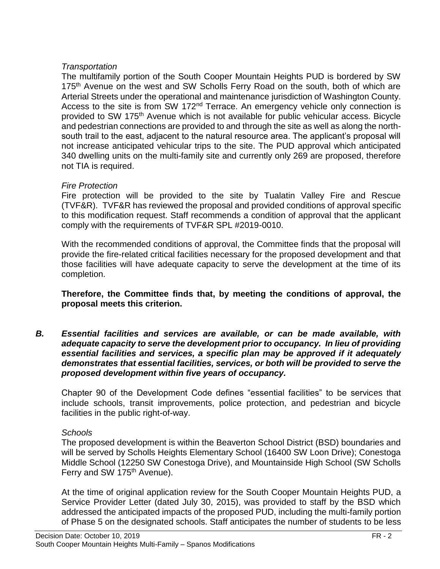# *Transportation*

The multifamily portion of the South Cooper Mountain Heights PUD is bordered by SW 175<sup>th</sup> Avenue on the west and SW Scholls Ferry Road on the south, both of which are Arterial Streets under the operational and maintenance jurisdiction of Washington County. Access to the site is from SW 172<sup>nd</sup> Terrace. An emergency vehicle only connection is provided to SW 175th Avenue which is not available for public vehicular access. Bicycle and pedestrian connections are provided to and through the site as well as along the northsouth trail to the east, adjacent to the natural resource area. The applicant's proposal will not increase anticipated vehicular trips to the site. The PUD approval which anticipated 340 dwelling units on the multi-family site and currently only 269 are proposed, therefore not TIA is required.

# *Fire Protection*

Fire protection will be provided to the site by Tualatin Valley Fire and Rescue (TVF&R). TVF&R has reviewed the proposal and provided conditions of approval specific to this modification request. Staff recommends a condition of approval that the applicant comply with the requirements of TVF&R SPL #2019-0010.

With the recommended conditions of approval, the Committee finds that the proposal will provide the fire-related critical facilities necessary for the proposed development and that those facilities will have adequate capacity to serve the development at the time of its completion.

## **Therefore, the Committee finds that, by meeting the conditions of approval, the proposal meets this criterion.**

*B. Essential facilities and services are available, or can be made available, with adequate capacity to serve the development prior to occupancy. In lieu of providing essential facilities and services, a specific plan may be approved if it adequately demonstrates that essential facilities, services, or both will be provided to serve the proposed development within five years of occupancy.*

Chapter 90 of the Development Code defines "essential facilities" to be services that include schools, transit improvements, police protection, and pedestrian and bicycle facilities in the public right-of-way.

# *Schools*

The proposed development is within the Beaverton School District (BSD) boundaries and will be served by Scholls Heights Elementary School (16400 SW Loon Drive); Conestoga Middle School (12250 SW Conestoga Drive), and Mountainside High School (SW Scholls Ferry and SW 175<sup>th</sup> Avenue).

At the time of original application review for the South Cooper Mountain Heights PUD, a Service Provider Letter (dated July 30, 2015), was provided to staff by the BSD which addressed the anticipated impacts of the proposed PUD, including the multi-family portion of Phase 5 on the designated schools. Staff anticipates the number of students to be less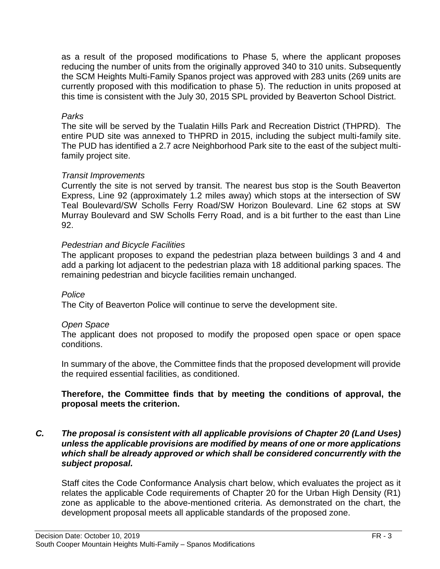as a result of the proposed modifications to Phase 5, where the applicant proposes reducing the number of units from the originally approved 340 to 310 units. Subsequently the SCM Heights Multi-Family Spanos project was approved with 283 units (269 units are currently proposed with this modification to phase 5). The reduction in units proposed at this time is consistent with the July 30, 2015 SPL provided by Beaverton School District.

## *Parks*

The site will be served by the Tualatin Hills Park and Recreation District (THPRD). The entire PUD site was annexed to THPRD in 2015, including the subject multi-family site. The PUD has identified a 2.7 acre Neighborhood Park site to the east of the subject multifamily project site.

# *Transit Improvements*

Currently the site is not served by transit. The nearest bus stop is the South Beaverton Express, Line 92 (approximately 1.2 miles away) which stops at the intersection of SW Teal Boulevard/SW Scholls Ferry Road/SW Horizon Boulevard. Line 62 stops at SW Murray Boulevard and SW Scholls Ferry Road, and is a bit further to the east than Line 92.

# *Pedestrian and Bicycle Facilities*

The applicant proposes to expand the pedestrian plaza between buildings 3 and 4 and add a parking lot adjacent to the pedestrian plaza with 18 additional parking spaces. The remaining pedestrian and bicycle facilities remain unchanged.

#### *Police*

The City of Beaverton Police will continue to serve the development site.

# *Open Space*

The applicant does not proposed to modify the proposed open space or open space conditions.

In summary of the above, the Committee finds that the proposed development will provide the required essential facilities, as conditioned.

## **Therefore, the Committee finds that by meeting the conditions of approval, the proposal meets the criterion.**

#### *C. The proposal is consistent with all applicable provisions of Chapter 20 (Land Uses) unless the applicable provisions are modified by means of one or more applications which shall be already approved or which shall be considered concurrently with the subject proposal.*

Staff cites the Code Conformance Analysis chart below, which evaluates the project as it relates the applicable Code requirements of Chapter 20 for the Urban High Density (R1) zone as applicable to the above-mentioned criteria. As demonstrated on the chart, the development proposal meets all applicable standards of the proposed zone.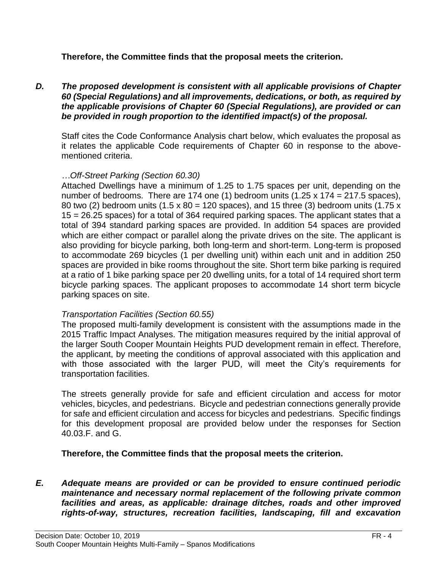# **Therefore, the Committee finds that the proposal meets the criterion.**

*D. The proposed development is consistent with all applicable provisions of Chapter 60 (Special Regulations) and all improvements, dedications, or both, as required by the applicable provisions of Chapter 60 (Special Regulations), are provided or can be provided in rough proportion to the identified impact(s) of the proposal.*

Staff cites the Code Conformance Analysis chart below, which evaluates the proposal as it relates the applicable Code requirements of Chapter 60 in response to the abovementioned criteria.

## *…Off-Street Parking (Section 60.30)*

Attached Dwellings have a minimum of 1.25 to 1.75 spaces per unit, depending on the number of bedrooms. There are 174 one (1) bedroom units  $(1.25 \times 174 = 217.5 \text{ spaces})$ , 80 two (2) bedroom units (1.5 x 80 = 120 spaces), and 15 three (3) bedroom units (1.75 x 15 = 26.25 spaces) for a total of 364 required parking spaces. The applicant states that a total of 394 standard parking spaces are provided. In addition 54 spaces are provided which are either compact or parallel along the private drives on the site. The applicant is also providing for bicycle parking, both long-term and short-term. Long-term is proposed to accommodate 269 bicycles (1 per dwelling unit) within each unit and in addition 250 spaces are provided in bike rooms throughout the site. Short term bike parking is required at a ratio of 1 bike parking space per 20 dwelling units, for a total of 14 required short term bicycle parking spaces. The applicant proposes to accommodate 14 short term bicycle parking spaces on site.

#### *Transportation Facilities (Section 60.55)*

The proposed multi-family development is consistent with the assumptions made in the 2015 Traffic Impact Analyses. The mitigation measures required by the initial approval of the larger South Cooper Mountain Heights PUD development remain in effect. Therefore, the applicant, by meeting the conditions of approval associated with this application and with those associated with the larger PUD, will meet the City's requirements for transportation facilities.

The streets generally provide for safe and efficient circulation and access for motor vehicles, bicycles, and pedestrians. Bicycle and pedestrian connections generally provide for safe and efficient circulation and access for bicycles and pedestrians. Specific findings for this development proposal are provided below under the responses for Section 40.03.F. and G.

**Therefore, the Committee finds that the proposal meets the criterion.**

*E. Adequate means are provided or can be provided to ensure continued periodic maintenance and necessary normal replacement of the following private common facilities and areas, as applicable: drainage ditches, roads and other improved rights-of-way, structures, recreation facilities, landscaping, fill and excavation*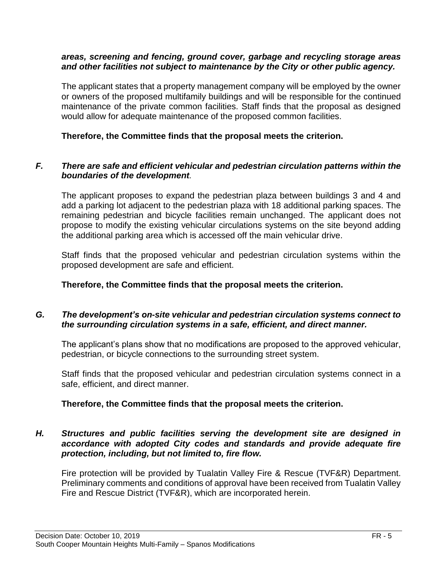#### *areas, screening and fencing, ground cover, garbage and recycling storage areas and other facilities not subject to maintenance by the City or other public agency.*

The applicant states that a property management company will be employed by the owner or owners of the proposed multifamily buildings and will be responsible for the continued maintenance of the private common facilities. Staff finds that the proposal as designed would allow for adequate maintenance of the proposed common facilities.

### **Therefore, the Committee finds that the proposal meets the criterion.**

## *F. There are safe and efficient vehicular and pedestrian circulation patterns within the boundaries of the development.*

The applicant proposes to expand the pedestrian plaza between buildings 3 and 4 and add a parking lot adjacent to the pedestrian plaza with 18 additional parking spaces. The remaining pedestrian and bicycle facilities remain unchanged. The applicant does not propose to modify the existing vehicular circulations systems on the site beyond adding the additional parking area which is accessed off the main vehicular drive.

Staff finds that the proposed vehicular and pedestrian circulation systems within the proposed development are safe and efficient.

### **Therefore, the Committee finds that the proposal meets the criterion.**

# *G. The development's on-site vehicular and pedestrian circulation systems connect to the surrounding circulation systems in a safe, efficient, and direct manner.*

The applicant's plans show that no modifications are proposed to the approved vehicular, pedestrian, or bicycle connections to the surrounding street system.

Staff finds that the proposed vehicular and pedestrian circulation systems connect in a safe, efficient, and direct manner.

#### **Therefore, the Committee finds that the proposal meets the criterion.**

## *H. Structures and public facilities serving the development site are designed in accordance with adopted City codes and standards and provide adequate fire protection, including, but not limited to, fire flow.*

Fire protection will be provided by Tualatin Valley Fire & Rescue (TVF&R) Department. Preliminary comments and conditions of approval have been received from Tualatin Valley Fire and Rescue District (TVF&R), which are incorporated herein.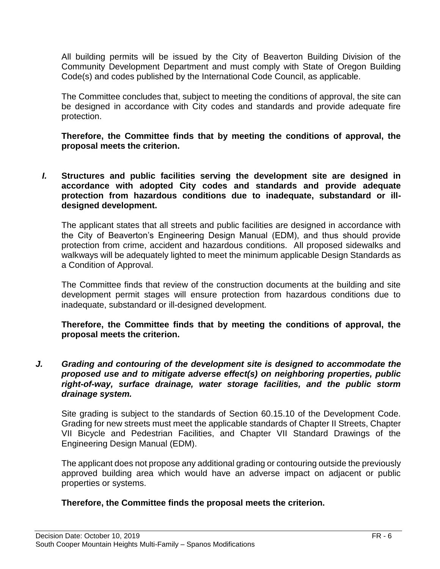All building permits will be issued by the City of Beaverton Building Division of the Community Development Department and must comply with State of Oregon Building Code(s) and codes published by the International Code Council, as applicable.

The Committee concludes that, subject to meeting the conditions of approval, the site can be designed in accordance with City codes and standards and provide adequate fire protection.

**Therefore, the Committee finds that by meeting the conditions of approval, the proposal meets the criterion.** 

*I.* **Structures and public facilities serving the development site are designed in accordance with adopted City codes and standards and provide adequate protection from hazardous conditions due to inadequate, substandard or illdesigned development.**

The applicant states that all streets and public facilities are designed in accordance with the City of Beaverton's Engineering Design Manual (EDM), and thus should provide protection from crime, accident and hazardous conditions. All proposed sidewalks and walkways will be adequately lighted to meet the minimum applicable Design Standards as a Condition of Approval.

The Committee finds that review of the construction documents at the building and site development permit stages will ensure protection from hazardous conditions due to inadequate, substandard or ill-designed development.

**Therefore, the Committee finds that by meeting the conditions of approval, the proposal meets the criterion.** 

*J. Grading and contouring of the development site is designed to accommodate the proposed use and to mitigate adverse effect(s) on neighboring properties, public right-of-way, surface drainage, water storage facilities, and the public storm drainage system.*

Site grading is subject to the standards of Section 60.15.10 of the Development Code. Grading for new streets must meet the applicable standards of Chapter II Streets, Chapter VII Bicycle and Pedestrian Facilities, and Chapter VII Standard Drawings of the Engineering Design Manual (EDM).

The applicant does not propose any additional grading or contouring outside the previously approved building area which would have an adverse impact on adjacent or public properties or systems.

#### **Therefore, the Committee finds the proposal meets the criterion.**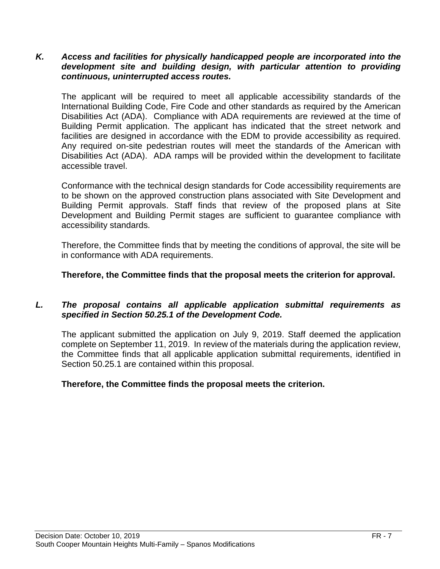#### *K. Access and facilities for physically handicapped people are incorporated into the development site and building design, with particular attention to providing continuous, uninterrupted access routes.*

The applicant will be required to meet all applicable accessibility standards of the International Building Code, Fire Code and other standards as required by the American Disabilities Act (ADA). Compliance with ADA requirements are reviewed at the time of Building Permit application. The applicant has indicated that the street network and facilities are designed in accordance with the EDM to provide accessibility as required. Any required on-site pedestrian routes will meet the standards of the American with Disabilities Act (ADA). ADA ramps will be provided within the development to facilitate accessible travel.

Conformance with the technical design standards for Code accessibility requirements are to be shown on the approved construction plans associated with Site Development and Building Permit approvals. Staff finds that review of the proposed plans at Site Development and Building Permit stages are sufficient to guarantee compliance with accessibility standards.

Therefore, the Committee finds that by meeting the conditions of approval, the site will be in conformance with ADA requirements.

## **Therefore, the Committee finds that the proposal meets the criterion for approval.**

#### *L. The proposal contains all applicable application submittal requirements as specified in Section 50.25.1 of the Development Code.*

The applicant submitted the application on July 9, 2019. Staff deemed the application complete on September 11, 2019. In review of the materials during the application review, the Committee finds that all applicable application submittal requirements, identified in Section 50.25.1 are contained within this proposal.

#### **Therefore, the Committee finds the proposal meets the criterion.**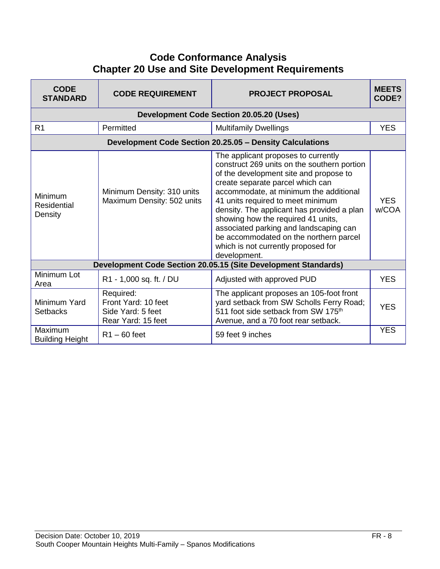# **Code Conformance Analysis Chapter 20 Use and Site Development Requirements**

| <b>CODE</b><br><b>STANDARD</b>    | <b>CODE REQUIREMENT</b>                                                     | <b>PROJECT PROPOSAL</b>                                                                                                                                                                                                                                                                                                                                                                                                                                                        | <b>MEETS</b><br>CODE? |
|-----------------------------------|-----------------------------------------------------------------------------|--------------------------------------------------------------------------------------------------------------------------------------------------------------------------------------------------------------------------------------------------------------------------------------------------------------------------------------------------------------------------------------------------------------------------------------------------------------------------------|-----------------------|
|                                   |                                                                             | <b>Development Code Section 20.05.20 (Uses)</b>                                                                                                                                                                                                                                                                                                                                                                                                                                |                       |
| R <sub>1</sub>                    | Permitted                                                                   | <b>Multifamily Dwellings</b>                                                                                                                                                                                                                                                                                                                                                                                                                                                   | <b>YES</b>            |
|                                   |                                                                             | Development Code Section 20.25.05 - Density Calculations                                                                                                                                                                                                                                                                                                                                                                                                                       |                       |
| Minimum<br>Residential<br>Density | Minimum Density: 310 units<br>Maximum Density: 502 units                    | The applicant proposes to currently<br>construct 269 units on the southern portion<br>of the development site and propose to<br>create separate parcel which can<br>accommodate, at minimum the additional<br>41 units required to meet minimum<br>density. The applicant has provided a plan<br>showing how the required 41 units,<br>associated parking and landscaping can<br>be accommodated on the northern parcel<br>which is not currently proposed for<br>development. | <b>YES</b><br>w/COA   |
|                                   |                                                                             | Development Code Section 20.05.15 (Site Development Standards)                                                                                                                                                                                                                                                                                                                                                                                                                 |                       |
| Minimum Lot<br>Area               | R1 - 1,000 sq. ft. / DU                                                     | Adjusted with approved PUD                                                                                                                                                                                                                                                                                                                                                                                                                                                     | <b>YES</b>            |
| Minimum Yard<br><b>Setbacks</b>   | Required:<br>Front Yard: 10 feet<br>Side Yard: 5 feet<br>Rear Yard: 15 feet | The applicant proposes an 105-foot front<br>yard setback from SW Scholls Ferry Road;<br>511 foot side setback from SW 175 <sup>th</sup><br>Avenue, and a 70 foot rear setback.                                                                                                                                                                                                                                                                                                 | <b>YES</b>            |
| Maximum<br><b>Building Height</b> | $R1 - 60$ feet                                                              | 59 feet 9 inches                                                                                                                                                                                                                                                                                                                                                                                                                                                               | <b>YES</b>            |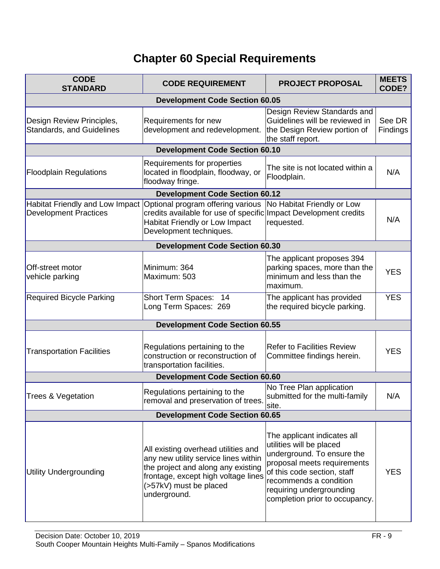# **Chapter 60 Special Requirements**

| <b>CODE</b><br><b>STANDARD</b>                                  | <b>CODE REQUIREMENT</b>                                                                                                                                                                            | <b>PROJECT PROPOSAL</b>                                                                                                                                                                                                                     | <b>MEETS</b><br>CODE? |  |
|-----------------------------------------------------------------|----------------------------------------------------------------------------------------------------------------------------------------------------------------------------------------------------|---------------------------------------------------------------------------------------------------------------------------------------------------------------------------------------------------------------------------------------------|-----------------------|--|
| <b>Development Code Section 60.05</b>                           |                                                                                                                                                                                                    |                                                                                                                                                                                                                                             |                       |  |
| Design Review Principles,<br><b>Standards, and Guidelines</b>   | Requirements for new<br>development and redevelopment.                                                                                                                                             | Design Review Standards and<br>Guidelines will be reviewed in<br>the Design Review portion of<br>the staff report.                                                                                                                          | See DR<br>Findings    |  |
|                                                                 | <b>Development Code Section 60.10</b>                                                                                                                                                              |                                                                                                                                                                                                                                             |                       |  |
| <b>Floodplain Regulations</b>                                   | Requirements for properties<br>located in floodplain, floodway, or<br>floodway fringe.                                                                                                             | The site is not located within a<br>Floodplain.                                                                                                                                                                                             | N/A                   |  |
|                                                                 | <b>Development Code Section 60.12</b>                                                                                                                                                              |                                                                                                                                                                                                                                             |                       |  |
| Habitat Friendly and Low Impact<br><b>Development Practices</b> | Optional program offering various<br>credits available for use of specific Impact Development credits<br>Habitat Friendly or Low Impact<br>Development techniques.                                 | No Habitat Friendly or Low<br>requested.                                                                                                                                                                                                    | N/A                   |  |
|                                                                 | <b>Development Code Section 60.30</b>                                                                                                                                                              |                                                                                                                                                                                                                                             |                       |  |
| Off-street motor<br>vehicle parking                             | Minimum: 364<br>Maximum: 503                                                                                                                                                                       | The applicant proposes 394<br>parking spaces, more than the<br>minimum and less than the<br>maximum.                                                                                                                                        | <b>YES</b>            |  |
| <b>Required Bicycle Parking</b>                                 | Short Term Spaces: 14<br>Long Term Spaces: 269                                                                                                                                                     | The applicant has provided<br>the required bicycle parking.                                                                                                                                                                                 | <b>YES</b>            |  |
|                                                                 | <b>Development Code Section 60.55</b>                                                                                                                                                              |                                                                                                                                                                                                                                             |                       |  |
| <b>Transportation Facilities</b>                                | Regulations pertaining to the<br>construction or reconstruction of<br>transportation facilities.                                                                                                   | <b>Refer to Facilities Review</b><br>Committee findings herein.                                                                                                                                                                             | <b>YES</b>            |  |
|                                                                 | <b>Development Code Section 60.60</b>                                                                                                                                                              |                                                                                                                                                                                                                                             |                       |  |
| Trees & Vegetation                                              | Regulations pertaining to the<br>removal and preservation of trees.                                                                                                                                | No Tree Plan application<br>submitted for the multi-family<br>site.                                                                                                                                                                         | N/A                   |  |
| <b>Development Code Section 60.65</b>                           |                                                                                                                                                                                                    |                                                                                                                                                                                                                                             |                       |  |
| Utility Undergrounding                                          | All existing overhead utilities and<br>any new utility service lines within<br>the project and along any existing<br>frontage, except high voltage lines<br>(>57kV) must be placed<br>underground. | The applicant indicates all<br>utilities will be placed<br>underground. To ensure the<br>proposal meets requirements<br>of this code section, staff<br>recommends a condition<br>requiring undergrounding<br>completion prior to occupancy. | <b>YES</b>            |  |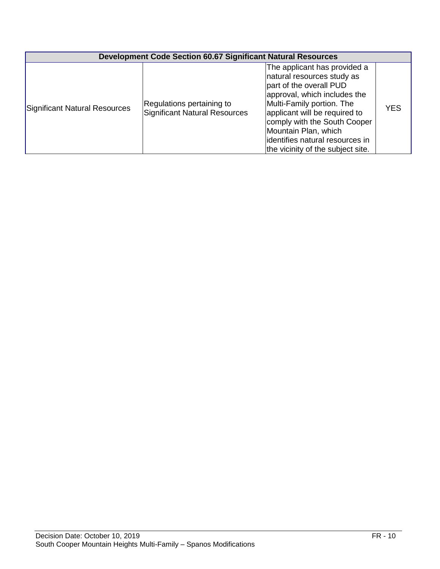|                               | <b>Development Code Section 60.67 Significant Natural Resources</b> |                                                                                                                                                                                                                                                                                                                     |            |  |
|-------------------------------|---------------------------------------------------------------------|---------------------------------------------------------------------------------------------------------------------------------------------------------------------------------------------------------------------------------------------------------------------------------------------------------------------|------------|--|
| Significant Natural Resources | Regulations pertaining to<br>Significant Natural Resources          | The applicant has provided a<br>natural resources study as<br>part of the overall PUD<br>approval, which includes the<br>Multi-Family portion. The<br>applicant will be required to<br>comply with the South Cooper<br>Mountain Plan, which<br>identifies natural resources in<br>the vicinity of the subject site. | <b>YES</b> |  |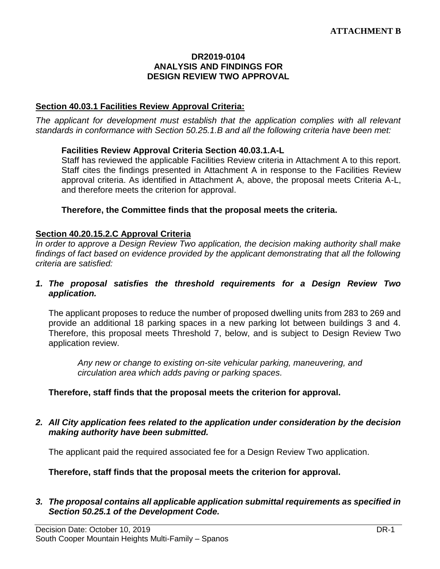#### **DR2019-0104 ANALYSIS AND FINDINGS FOR DESIGN REVIEW TWO APPROVAL**

#### **Section 40.03.1 Facilities Review Approval Criteria:**

*The applicant for development must establish that the application complies with all relevant standards in conformance with Section 50.25.1.B and all the following criteria have been met:* 

#### **Facilities Review Approval Criteria Section 40.03.1.A-L**

Staff has reviewed the applicable Facilities Review criteria in Attachment A to this report. Staff cites the findings presented in Attachment A in response to the Facilities Review approval criteria. As identified in Attachment A, above, the proposal meets Criteria A-L, and therefore meets the criterion for approval.

#### **Therefore, the Committee finds that the proposal meets the criteria.**

#### **Section 40.20.15.2.C Approval Criteria**

*In order to approve a Design Review Two application, the decision making authority shall make findings of fact based on evidence provided by the applicant demonstrating that all the following criteria are satisfied:*

#### *1. The proposal satisfies the threshold requirements for a Design Review Two application.*

The applicant proposes to reduce the number of proposed dwelling units from 283 to 269 and provide an additional 18 parking spaces in a new parking lot between buildings 3 and 4. Therefore, this proposal meets Threshold 7, below, and is subject to Design Review Two application review.

*Any new or change to existing on-site vehicular parking, maneuvering, and circulation area which adds paving or parking spaces.*

#### **Therefore, staff finds that the proposal meets the criterion for approval.**

*2. All City application fees related to the application under consideration by the decision making authority have been submitted.*

The applicant paid the required associated fee for a Design Review Two application.

**Therefore, staff finds that the proposal meets the criterion for approval.**

#### *3. The proposal contains all applicable application submittal requirements as specified in Section 50.25.1 of the Development Code.*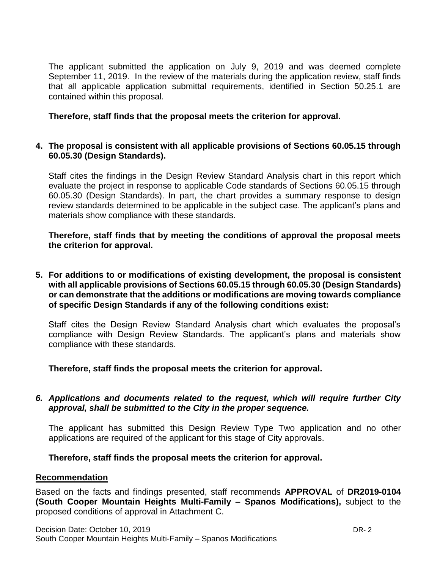The applicant submitted the application on July 9, 2019 and was deemed complete September 11, 2019. In the review of the materials during the application review, staff finds that all applicable application submittal requirements, identified in Section 50.25.1 are contained within this proposal.

## **Therefore, staff finds that the proposal meets the criterion for approval.**

#### **4. The proposal is consistent with all applicable provisions of Sections 60.05.15 through 60.05.30 (Design Standards).**

Staff cites the findings in the Design Review Standard Analysis chart in this report which evaluate the project in response to applicable Code standards of Sections 60.05.15 through 60.05.30 (Design Standards). In part, the chart provides a summary response to design review standards determined to be applicable in the subject case. The applicant's plans and materials show compliance with these standards.

**Therefore, staff finds that by meeting the conditions of approval the proposal meets the criterion for approval.**

**5. For additions to or modifications of existing development, the proposal is consistent with all applicable provisions of Sections 60.05.15 through 60.05.30 (Design Standards) or can demonstrate that the additions or modifications are moving towards compliance of specific Design Standards if any of the following conditions exist:**

Staff cites the Design Review Standard Analysis chart which evaluates the proposal's compliance with Design Review Standards. The applicant's plans and materials show compliance with these standards.

**Therefore, staff finds the proposal meets the criterion for approval.**

## *6. Applications and documents related to the request, which will require further City approval, shall be submitted to the City in the proper sequence.*

The applicant has submitted this Design Review Type Two application and no other applications are required of the applicant for this stage of City approvals.

**Therefore, staff finds the proposal meets the criterion for approval.**

#### **Recommendation**

Based on the facts and findings presented, staff recommends **APPROVAL** of **DR2019-0104 (South Cooper Mountain Heights Multi-Family – Spanos Modifications),** subject to the proposed conditions of approval in Attachment C.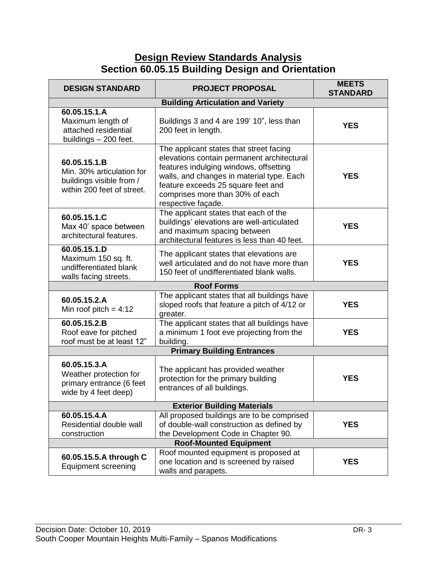# **Design Review Standards Analysis Section 60.05.15 Building Design and Orientation**

| <b>DESIGN STANDARD</b>                                                                              | <b>PROJECT PROPOSAL</b>                                                                                                                                                                                                                                                     | <b>MEETS</b><br><b>STANDARD</b> |  |  |
|-----------------------------------------------------------------------------------------------------|-----------------------------------------------------------------------------------------------------------------------------------------------------------------------------------------------------------------------------------------------------------------------------|---------------------------------|--|--|
|                                                                                                     | <b>Building Articulation and Variety</b>                                                                                                                                                                                                                                    |                                 |  |  |
| 60.05.15.1.A<br>Maximum length of<br>attached residential<br>buildings - 200 feet.                  | Buildings 3 and 4 are 199' 10", less than<br>200 feet in length.                                                                                                                                                                                                            | <b>YES</b>                      |  |  |
| 60.05.15.1.B<br>Min. 30% articulation for<br>buildings visible from /<br>within 200 feet of street. | The applicant states that street facing<br>elevations contain permanent architectural<br>features indulging windows, offsetting<br>walls, and changes in material type. Each<br>feature exceeds 25 square feet and<br>comprises more than 30% of each<br>respective façade. | <b>YES</b>                      |  |  |
| 60.05.15.1.C<br>Max 40' space between<br>architectural features.                                    | The applicant states that each of the<br>buildings' elevations are well-articulated<br>and maximum spacing between<br>architectural features is less than 40 feet.                                                                                                          | <b>YES</b>                      |  |  |
| 60.05.15.1.D<br>Maximum 150 sq. ft.<br>undifferentiated blank<br>walls facing streets.              | The applicant states that elevations are<br>well articulated and do not have more than<br>150 feet of undifferentiated blank walls.                                                                                                                                         | <b>YES</b>                      |  |  |
|                                                                                                     | <b>Roof Forms</b>                                                                                                                                                                                                                                                           |                                 |  |  |
| 60.05.15.2.A<br>Min roof pitch = $4:12$                                                             | The applicant states that all buildings have<br>sloped roofs that feature a pitch of 4/12 or<br>greater.                                                                                                                                                                    | <b>YES</b>                      |  |  |
| 60.05.15.2.B<br>Roof eave for pitched<br>roof must be at least 12"                                  | The applicant states that all buildings have<br>a minimum 1 foot eve projecting from the<br>building.                                                                                                                                                                       | <b>YES</b>                      |  |  |
|                                                                                                     | <b>Primary Building Entrances</b>                                                                                                                                                                                                                                           |                                 |  |  |
| 60.05.15.3.A<br>Weather protection for<br>primary entrance (6 feet<br>wide by 4 feet deep)          | The applicant has provided weather<br>protection for the primary building<br>entrances of all buildings.                                                                                                                                                                    | <b>YES</b>                      |  |  |
| <b>Exterior Building Materials</b>                                                                  |                                                                                                                                                                                                                                                                             |                                 |  |  |
| 60.05.15.4.A<br>Residential double wall<br>construction                                             | All proposed buildings are to be comprised<br>of double-wall construction as defined by<br>the Development Code in Chapter 90.                                                                                                                                              | <b>YES</b>                      |  |  |
| <b>Roof-Mounted Equipment</b>                                                                       |                                                                                                                                                                                                                                                                             |                                 |  |  |
| 60.05.15.5.A through C<br><b>Equipment screening</b>                                                | Roof mounted equipment is proposed at<br>one location and is screened by raised<br>walls and parapets.                                                                                                                                                                      | <b>YES</b>                      |  |  |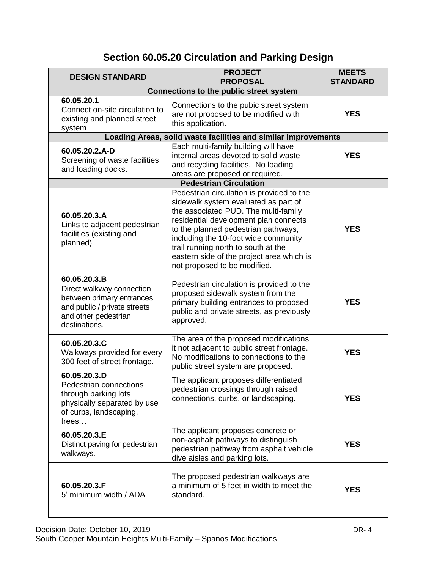# **Section 60.05.20 Circulation and Parking Design**

| <b>DESIGN STANDARD</b>                                                                                                                          | <b>PROJECT</b><br><b>PROPOSAL</b>                                                                                                                                                                                                                                                                                                                                     | <b>MEETS</b><br><b>STANDARD</b> |  |
|-------------------------------------------------------------------------------------------------------------------------------------------------|-----------------------------------------------------------------------------------------------------------------------------------------------------------------------------------------------------------------------------------------------------------------------------------------------------------------------------------------------------------------------|---------------------------------|--|
| <b>Connections to the public street system</b>                                                                                                  |                                                                                                                                                                                                                                                                                                                                                                       |                                 |  |
| 60.05.20.1<br>Connect on-site circulation to<br>existing and planned street<br>system                                                           | Connections to the pubic street system<br>are not proposed to be modified with<br>this application.                                                                                                                                                                                                                                                                   | <b>YES</b>                      |  |
| Loading Areas, solid waste facilities and similar improvements                                                                                  |                                                                                                                                                                                                                                                                                                                                                                       |                                 |  |
| 60.05.20.2.A-D<br>Screening of waste facilities<br>and loading docks.                                                                           | Each multi-family building will have<br>internal areas devoted to solid waste<br>and recycling facilities. No loading<br>areas are proposed or required.                                                                                                                                                                                                              | <b>YES</b>                      |  |
|                                                                                                                                                 | <b>Pedestrian Circulation</b>                                                                                                                                                                                                                                                                                                                                         |                                 |  |
| 60.05.20.3.A<br>Links to adjacent pedestrian<br>facilities (existing and<br>planned)                                                            | Pedestrian circulation is provided to the<br>sidewalk system evaluated as part of<br>the associated PUD. The multi-family<br>residential development plan connects<br>to the planned pedestrian pathways,<br>including the 10-foot wide community<br>trail running north to south at the<br>eastern side of the project area which is<br>not proposed to be modified. | <b>YES</b>                      |  |
| 60.05.20.3.B<br>Direct walkway connection<br>between primary entrances<br>and public / private streets<br>and other pedestrian<br>destinations. | Pedestrian circulation is provided to the<br>proposed sidewalk system from the<br>primary building entrances to proposed<br>public and private streets, as previously<br>approved.                                                                                                                                                                                    | <b>YES</b>                      |  |
| 60.05.20.3.C<br>Walkways provided for every<br>300 feet of street frontage.                                                                     | The area of the proposed modifications<br>it not adjacent to public street frontage.<br>No modifications to connections to the<br>public street system are proposed.                                                                                                                                                                                                  | <b>YES</b>                      |  |
| 60.05.20.3.D<br>Pedestrian connections<br>through parking lots<br>physically separated by use<br>of curbs, landscaping,<br>trees                | The applicant proposes differentiated<br>pedestrian crossings through raised<br>connections, curbs, or landscaping.                                                                                                                                                                                                                                                   | <b>YES</b>                      |  |
| 60.05.20.3.E<br>Distinct paving for pedestrian<br>walkways.                                                                                     | The applicant proposes concrete or<br>non-asphalt pathways to distinguish<br>pedestrian pathway from asphalt vehicle<br>dive aisles and parking lots.                                                                                                                                                                                                                 | <b>YES</b>                      |  |
| 60.05.20.3.F<br>5' minimum width / ADA                                                                                                          | The proposed pedestrian walkways are<br>a minimum of 5 feet in width to meet the<br>standard.                                                                                                                                                                                                                                                                         | <b>YES</b>                      |  |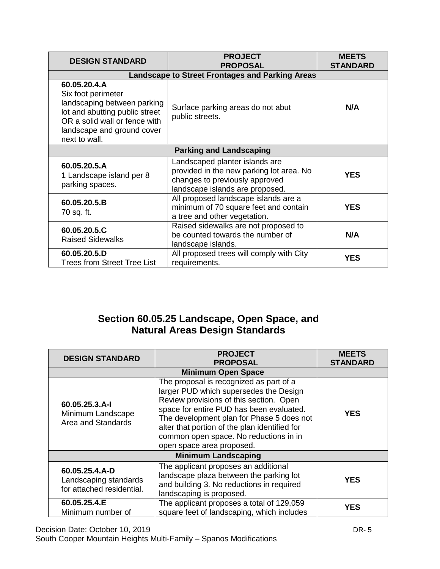| <b>DESIGN STANDARD</b>                                                                                                                                                              | <b>PROJECT</b><br><b>PROPOSAL</b>                                                                                                               | <b>MEETS</b><br><b>STANDARD</b> |  |  |
|-------------------------------------------------------------------------------------------------------------------------------------------------------------------------------------|-------------------------------------------------------------------------------------------------------------------------------------------------|---------------------------------|--|--|
|                                                                                                                                                                                     | <b>Landscape to Street Frontages and Parking Areas</b>                                                                                          |                                 |  |  |
| 60.05.20.4.A<br>Six foot perimeter<br>landscaping between parking<br>lot and abutting public street<br>OR a solid wall or fence with<br>landscape and ground cover<br>next to wall. | Surface parking areas do not abut<br>public streets.                                                                                            | N/A                             |  |  |
| <b>Parking and Landscaping</b>                                                                                                                                                      |                                                                                                                                                 |                                 |  |  |
| 60.05.20.5.A<br>1 Landscape island per 8<br>parking spaces.                                                                                                                         | Landscaped planter islands are<br>provided in the new parking lot area. No<br>changes to previously approved<br>landscape islands are proposed. | <b>YES</b>                      |  |  |
| 60.05.20.5.B<br>70 sq. ft.                                                                                                                                                          | All proposed landscape islands are a<br>minimum of 70 square feet and contain<br>a tree and other vegetation.                                   | <b>YES</b>                      |  |  |
| 60.05.20.5.C<br><b>Raised Sidewalks</b>                                                                                                                                             | Raised sidewalks are not proposed to<br>be counted towards the number of<br>landscape islands.                                                  | N/A                             |  |  |
| 60.05.20.5.D<br>Trees from Street Tree List                                                                                                                                         | All proposed trees will comply with City<br>requirements.                                                                                       | <b>YES</b>                      |  |  |

# **Section 60.05.25 Landscape, Open Space, and Natural Areas Design Standards**

| <b>DESIGN STANDARD</b>                                               | <b>PROJECT</b><br><b>PROPOSAL</b>                                                                                                                                                                                                                                                                                                             | <b>MEETS</b><br><b>STANDARD</b> |
|----------------------------------------------------------------------|-----------------------------------------------------------------------------------------------------------------------------------------------------------------------------------------------------------------------------------------------------------------------------------------------------------------------------------------------|---------------------------------|
|                                                                      | <b>Minimum Open Space</b>                                                                                                                                                                                                                                                                                                                     |                                 |
| 60.05.25.3.A-I<br>Minimum Landscape<br>Area and Standards            | The proposal is recognized as part of a<br>larger PUD which supersedes the Design<br>Review provisions of this section. Open<br>space for entire PUD has been evaluated.<br>The development plan for Phase 5 does not<br>alter that portion of the plan identified for<br>common open space. No reductions in in<br>open space area proposed. | <b>YES</b>                      |
| <b>Minimum Landscaping</b>                                           |                                                                                                                                                                                                                                                                                                                                               |                                 |
| 60.05.25.4.A-D<br>Landscaping standards<br>for attached residential. | The applicant proposes an additional<br>landscape plaza between the parking lot<br>and building 3. No reductions in required<br>landscaping is proposed.                                                                                                                                                                                      | <b>YES</b>                      |
| 60.05.25.4.E<br>Minimum number of                                    | The applicant proposes a total of 129,059<br>square feet of landscaping, which includes                                                                                                                                                                                                                                                       | <b>YES</b>                      |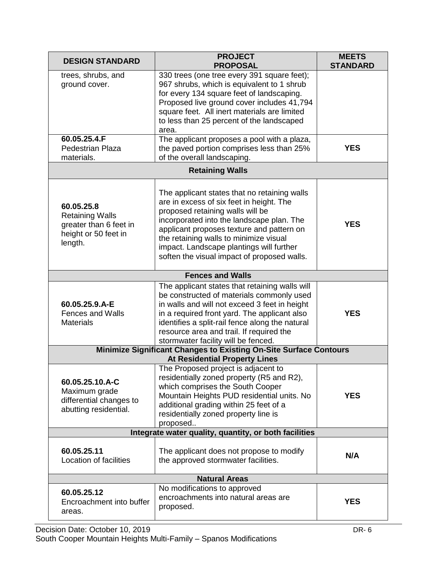| <b>DESIGN STANDARD</b>                                                                                    | <b>PROJECT</b><br><b>PROPOSAL</b>                                                                                                                                                                                                                                                                                                                           | <b>MEETS</b><br><b>STANDARD</b> |  |  |
|-----------------------------------------------------------------------------------------------------------|-------------------------------------------------------------------------------------------------------------------------------------------------------------------------------------------------------------------------------------------------------------------------------------------------------------------------------------------------------------|---------------------------------|--|--|
| trees, shrubs, and<br>ground cover.                                                                       | 330 trees (one tree every 391 square feet);<br>967 shrubs, which is equivalent to 1 shrub<br>for every 134 square feet of landscaping.<br>Proposed live ground cover includes 41,794<br>square feet. All inert materials are limited<br>to less than 25 percent of the landscaped<br>area.                                                                  |                                 |  |  |
| 60.05.25.4.F<br>Pedestrian Plaza<br>materials.                                                            | The applicant proposes a pool with a plaza,<br>the paved portion comprises less than 25%<br>of the overall landscaping.                                                                                                                                                                                                                                     | <b>YES</b>                      |  |  |
|                                                                                                           | <b>Retaining Walls</b>                                                                                                                                                                                                                                                                                                                                      |                                 |  |  |
| 60.05.25.8<br><b>Retaining Walls</b><br>greater than 6 feet in<br>height or 50 feet in<br>length.         | The applicant states that no retaining walls<br>are in excess of six feet in height. The<br>proposed retaining walls will be<br>incorporated into the landscape plan. The<br>applicant proposes texture and pattern on<br>the retaining walls to minimize visual<br>impact. Landscape plantings will further<br>soften the visual impact of proposed walls. | <b>YES</b>                      |  |  |
|                                                                                                           | <b>Fences and Walls</b>                                                                                                                                                                                                                                                                                                                                     |                                 |  |  |
| 60.05.25.9.A-E<br><b>Fences and Walls</b><br><b>Materials</b>                                             | The applicant states that retaining walls will<br>be constructed of materials commonly used<br>in walls and will not exceed 3 feet in height<br>in a required front yard. The applicant also<br>identifies a split-rail fence along the natural<br>resource area and trail. If required the<br>stormwater facility will be fenced.                          | <b>YES</b>                      |  |  |
| Minimize Significant Changes to Existing On-Site Surface Contours<br><b>At Residential Property Lines</b> |                                                                                                                                                                                                                                                                                                                                                             |                                 |  |  |
| 60.05.25.10.A-C<br>Maximum grade<br>differential changes to<br>abutting residential.                      | The Proposed project is adjacent to<br>residentially zoned property (R5 and R2),<br>which comprises the South Cooper<br>Mountain Heights PUD residential units. No<br>additional grading within 25 feet of a<br>residentially zoned property line is<br>proposed                                                                                            | <b>YES</b>                      |  |  |
| Integrate water quality, quantity, or both facilities                                                     |                                                                                                                                                                                                                                                                                                                                                             |                                 |  |  |
| 60.05.25.11<br>Location of facilities                                                                     | The applicant does not propose to modify<br>the approved stormwater facilities.                                                                                                                                                                                                                                                                             | N/A                             |  |  |
| <b>Natural Areas</b>                                                                                      |                                                                                                                                                                                                                                                                                                                                                             |                                 |  |  |
| 60.05.25.12<br>Encroachment into buffer<br>areas.                                                         | No modifications to approved<br>encroachments into natural areas are<br>proposed.                                                                                                                                                                                                                                                                           | <b>YES</b>                      |  |  |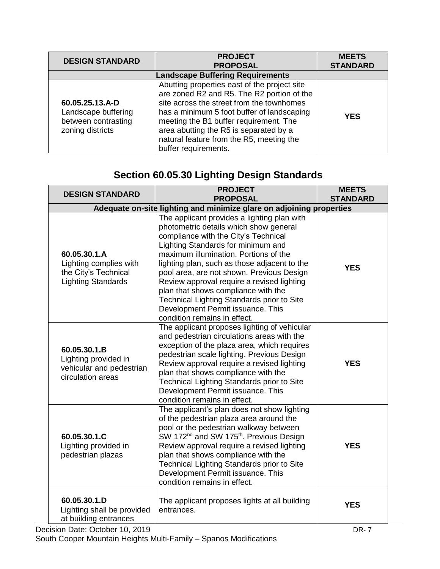| <b>DESIGN STANDARD</b>                                                            | <b>PROJECT</b><br><b>PROPOSAL</b>                                                                                                                                                                                                                                                                                                             | <b>MEETS</b><br><b>STANDARD</b> |  |  |
|-----------------------------------------------------------------------------------|-----------------------------------------------------------------------------------------------------------------------------------------------------------------------------------------------------------------------------------------------------------------------------------------------------------------------------------------------|---------------------------------|--|--|
| <b>Landscape Buffering Requirements</b>                                           |                                                                                                                                                                                                                                                                                                                                               |                                 |  |  |
| 60.05.25.13.A-D<br>Landscape buffering<br>between contrasting<br>zoning districts | Abutting properties east of the project site<br>are zoned R2 and R5. The R2 portion of the<br>site across the street from the townhomes<br>has a minimum 5 foot buffer of landscaping<br>meeting the B1 buffer requirement. The<br>area abutting the R5 is separated by a<br>natural feature from the R5, meeting the<br>buffer requirements. | <b>YES</b>                      |  |  |

# **Section 60.05.30 Lighting Design Standards**

| <b>DESIGN STANDARD</b>                                                                               | <b>PROJECT</b><br><b>PROPOSAL</b>                                                                                                                                                                                                                                                                                                                                                                                                                                                                                 | <b>MEETS</b><br><b>STANDARD</b>               |  |  |
|------------------------------------------------------------------------------------------------------|-------------------------------------------------------------------------------------------------------------------------------------------------------------------------------------------------------------------------------------------------------------------------------------------------------------------------------------------------------------------------------------------------------------------------------------------------------------------------------------------------------------------|-----------------------------------------------|--|--|
| Adequate on-site lighting and minimize glare on adjoining properties                                 |                                                                                                                                                                                                                                                                                                                                                                                                                                                                                                                   |                                               |  |  |
| 60.05.30.1.A<br>Lighting complies with<br>the City's Technical<br><b>Lighting Standards</b>          | The applicant provides a lighting plan with<br>photometric details which show general<br>compliance with the City's Technical<br>Lighting Standards for minimum and<br>maximum illumination. Portions of the<br>lighting plan, such as those adjacent to the<br>pool area, are not shown. Previous Design<br>Review approval require a revised lighting<br>plan that shows compliance with the<br>Technical Lighting Standards prior to Site<br>Development Permit issuance. This<br>condition remains in effect. | <b>YES</b>                                    |  |  |
| 60.05.30.1.B<br>Lighting provided in<br>vehicular and pedestrian<br>circulation areas                | The applicant proposes lighting of vehicular<br>and pedestrian circulations areas with the<br>exception of the plaza area, which requires<br>pedestrian scale lighting. Previous Design<br>Review approval require a revised lighting<br>plan that shows compliance with the<br>Technical Lighting Standards prior to Site<br>Development Permit issuance. This<br>condition remains in effect.                                                                                                                   | <b>YES</b>                                    |  |  |
| 60.05.30.1.C<br>Lighting provided in<br>pedestrian plazas                                            | The applicant's plan does not show lighting<br>of the pedestrian plaza area around the<br>pool or the pedestrian walkway between<br>SW 172 <sup>nd</sup> and SW 175 <sup>th</sup> . Previous Design<br>Review approval require a revised lighting<br>plan that shows compliance with the<br>Technical Lighting Standards prior to Site<br>Development Permit issuance. This<br>condition remains in effect.                                                                                                       | <b>YES</b>                                    |  |  |
| 60.05.30.1.D<br>Lighting shall be provided<br>at building entrances<br>aioian Data: Oatahar 10, 2010 | The applicant proposes lights at all building<br>entrances.                                                                                                                                                                                                                                                                                                                                                                                                                                                       | <b>YES</b><br>nn.<br>$\overline{\phantom{a}}$ |  |  |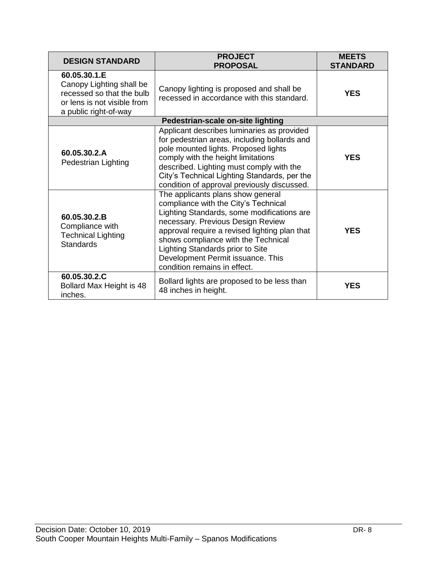| <b>DESIGN STANDARD</b>                                                                                                        | <b>PROJECT</b><br><b>PROPOSAL</b>                                                                                                                                                                                                                                                                                                                             | <b>MEETS</b><br><b>STANDARD</b> |
|-------------------------------------------------------------------------------------------------------------------------------|---------------------------------------------------------------------------------------------------------------------------------------------------------------------------------------------------------------------------------------------------------------------------------------------------------------------------------------------------------------|---------------------------------|
| 60.05.30.1.E<br>Canopy Lighting shall be<br>recessed so that the bulb<br>or lens is not visible from<br>a public right-of-way | Canopy lighting is proposed and shall be<br>recessed in accordance with this standard.                                                                                                                                                                                                                                                                        | <b>YES</b>                      |
|                                                                                                                               | Pedestrian-scale on-site lighting                                                                                                                                                                                                                                                                                                                             |                                 |
| 60.05.30.2.A<br>Pedestrian Lighting                                                                                           | Applicant describes luminaries as provided<br>for pedestrian areas, including bollards and<br>pole mounted lights. Proposed lights<br>comply with the height limitations<br>described. Lighting must comply with the<br>City's Technical Lighting Standards, per the<br>condition of approval previously discussed.                                           | <b>YES</b>                      |
| 60.05.30.2.B<br>Compliance with<br><b>Technical Lighting</b><br><b>Standards</b>                                              | The applicants plans show general<br>compliance with the City's Technical<br>Lighting Standards, some modifications are<br>necessary. Previous Design Review<br>approval require a revised lighting plan that<br>shows compliance with the Technical<br>Lighting Standards prior to Site<br>Development Permit issuance. This<br>condition remains in effect. | <b>YES</b>                      |
| 60.05.30.2.C<br>Bollard Max Height is 48<br>inches.                                                                           | Bollard lights are proposed to be less than<br>48 inches in height.                                                                                                                                                                                                                                                                                           | <b>YES</b>                      |